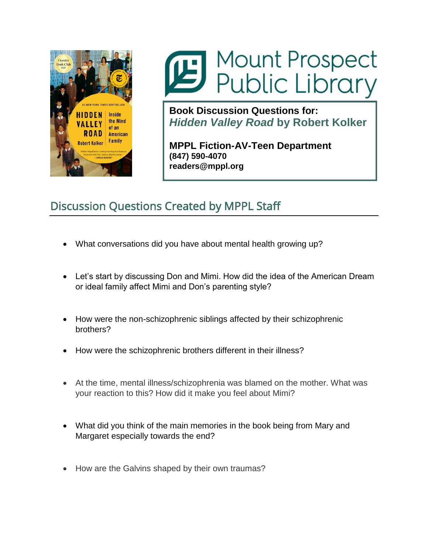

## Mount Prospect<br>Public Library

**Book Discussion Questions for:** *Hidden Valley Road* **by Robert Kolker**

**MPPL Fiction-AV-Teen Department (847) 590-4070 readers@mppl.org**

## Discussion Questions Created by MPPL Staff

- What conversations did you have about mental health growing up?
- Let's start by discussing Don and Mimi. How did the idea of the American Dream or ideal family affect Mimi and Don's parenting style?
- How were the non-schizophrenic siblings affected by their schizophrenic brothers?
- How were the schizophrenic brothers different in their illness?
- At the time, mental illness/schizophrenia was blamed on the mother. What was your reaction to this? How did it make you feel about Mimi?
- What did you think of the main memories in the book being from Mary and Margaret especially towards the end?
- How are the Galvins shaped by their own traumas?